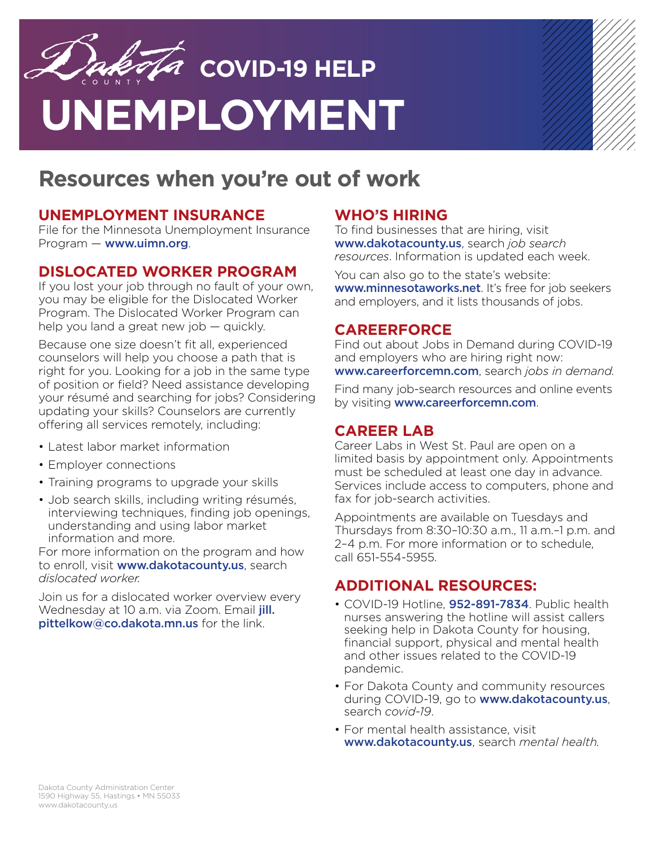

**COVID-19 HELP** 

# **UNEMPLOYMENT**

# **Resources when you're out of work**

# **UNEMPLOYMENT INSURANCE**

File for the Minnesota Unemployment Insurance Program — www.uimn.org.

# **DISLOCATED WORKER PROGRAM**

If you lost your job through no fault of your own, you may be eligible for the Dislocated Worker Program. The Dislocated Worker Program can help you land a great new job — quickly.

Because one size doesn't fit all, experienced counselors will help you choose a path that is right for you. Looking for a job in the same type of position or field? Need assistance developing your résumé and searching for jobs? Considering updating your skills? Counselors are currently offering all services remotely, including:

- Latest labor market information
- Employer connections
- Training programs to upgrade your skills
- Job search skills, including writing résumés, interviewing techniques, finding job openings, understanding and using labor market information and more.

For more information on the program and how to enroll, visit www.dakotacounty.us, search *dislocated worker.*

Join us for a dislocated worker overview every Wednesday at 10 a.m. via Zoom. Email *jill.* pittelkow@co.dakota.mn.us for the link.

# **WHO'S HIRING**

To find businesses that are hiring, visit www.dakotacounty.us, search *job search resources*. Information is updated each week.

You can also go to the state's website: www.minnesotaworks.net. It's free for job seekers and employers, and it lists thousands of jobs.

# **CAREERFORCE**

Find out about Jobs in Demand during COVID-19 and employers who are hiring right now: www.careerforcemn.com, search *jobs in demand.*

Find many job-search resources and online events by visiting **www.careerforcemn.com.** 

## **CAREER LAB**

Career Labs in West St. Paul are open on a limited basis by appointment only. Appointments must be scheduled at least one day in advance. Services include access to computers, phone and fax for job-search activities.

Appointments are available on Tuesdays and Thursdays from 8:30–10:30 a.m., 11 a.m.–1 p.m. and 2–4 p.m. For more information or to schedule, call 651-554-5955.

- COVID-19 Hotline, 952-891-7834. Public health nurses answering the hotline will assist callers seeking help in Dakota County for housing, financial support, physical and mental health and other issues related to the COVID-19 pandemic.
- For Dakota County and community resources during COVID-19, go to www.dakotacounty.us, search *covid-19*.
- For mental health assistance, visit www.dakotacounty.us, search *mental health.*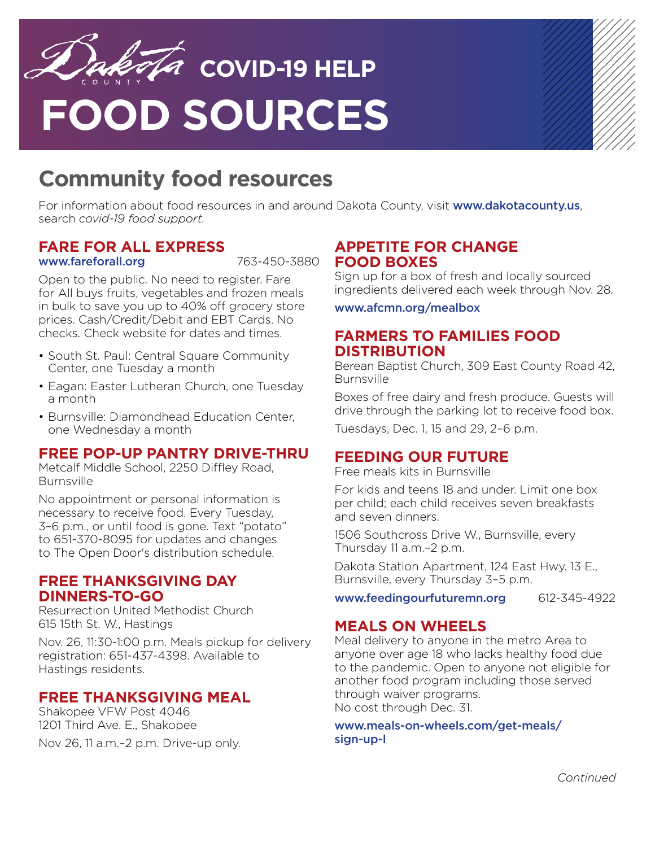

# **FOOD SOURCES**

# **Community food resources**

For information about food resources in and around Dakota County, visit www.dakotacounty.us, search *covid-19 food support.*

#### **FARE FOR ALL EXPRESS** www.fareforall.org 763-450-3880

Open to the public. No need to register. Fare for All buys fruits, vegetables and frozen meals in bulk to save you up to 40% off grocery store prices. Cash/Credit/Debit and EBT Cards. No checks. Check website for dates and times.

- South St. Paul: Central Square Community Center, one Tuesday a month
- Eagan: Easter Lutheran Church, one Tuesday a month
- Burnsville: Diamondhead Education Center, one Wednesday a month

#### **FREE POP-UP PANTRY DRIVE-THRU**

Metcalf Middle School, 2250 Diffley Road, **Burnsville** 

No appointment or personal information is necessary to receive food. Every Tuesday, 3–6 p.m., or until food is gone. Text "potato" to 651-370-8095 for updates and changes to The Open Door's distribution schedule.

#### **FREE THANKSGIVING DAY DINNERS-TO-GO**

Resurrection United Methodist Church 615 15th St. W., Hastings

Nov. 26, 11:30-1:00 p.m. Meals pickup for delivery registration: 651-437-4398. Available to Hastings residents.

#### **FREE THANKSGIVING MEAL**

Shakopee VFW Post 4046 1201 Third Ave. E., Shakopee

Nov 26, 11 a.m.–2 p.m. Drive-up only.

#### **APPETITE FOR CHANGE FOOD BOXES**

Sign up for a box of fresh and locally sourced ingredients delivered each week through Nov. 28.

www.afcmn.org/mealbox

#### **FARMERS TO FAMILIES FOOD DISTRIBUTION**

Berean Baptist Church, 309 East County Road 42, Burnsville

Boxes of free dairy and fresh produce. Guests will drive through the parking lot to receive food box.

Tuesdays, Dec. 1, 15 and 29, 2–6 p.m.

#### **FEEDING OUR FUTURE**

Free meals kits in Burnsville

For kids and teens 18 and under. Limit one box per child; each child receives seven breakfasts and seven dinners.

1506 Southcross Drive W., Burnsville, every Thursday 11 a.m.–2 p.m.

Dakota Station Apartment, 124 East Hwy. 13 E., Burnsville, every Thursday 3–5 p.m.

www.feedingourfuturemn.org 612-345-4922

#### **MEALS ON WHEELS**

Meal delivery to anyone in the metro Area to anyone over age 18 who lacks healthy food due to the pandemic. Open to anyone not eligible for another food program including those served through waiver programs. No cost through Dec. 31.

www.meals-on-wheels.com/get-meals/ sign-up-l

*Continued*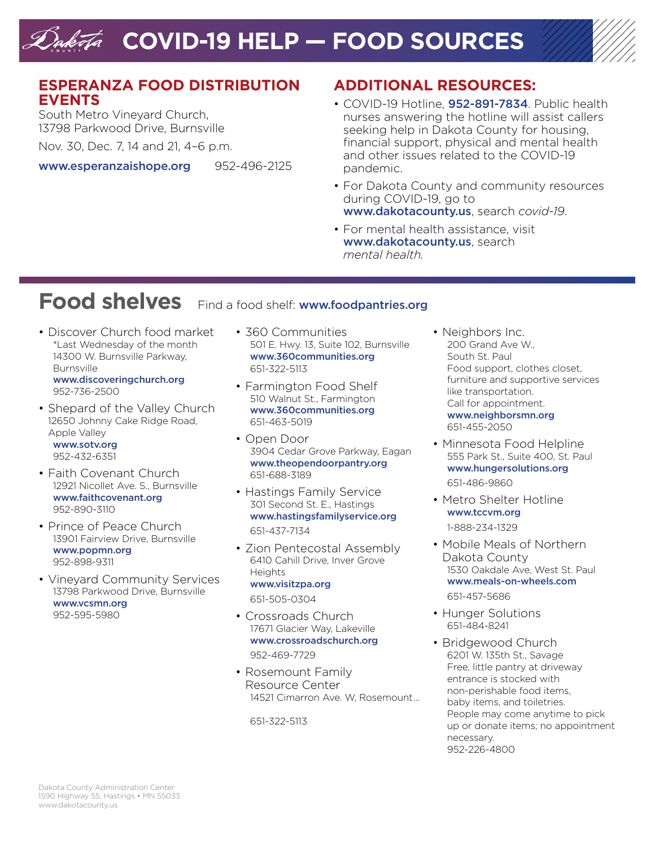# **COVID-19 HELP — FOOD SOURCES**

#### **ESPERANZA FOOD DISTRIBUTION EVENTS**

South Metro Vineyard Church, 13798 Parkwood Drive, Burnsville

Nov. 30, Dec. 7, 14 and 21, 4–6 p.m.

www.esperanzaishope.org 952-496-2125

## **ADDITIONAL RESOURCES:**

- COVID-19 Hotline, 952-891-7834. Public health nurses answering the hotline will assist callers seeking help in Dakota County for housing, financial support, physical and mental health and other issues related to the COVID-19 pandemic.
- For Dakota County and community resources during COVID-19, go to www.dakotacounty.us, search *covid-19*.
- For mental health assistance, visit www.dakotacounty.us, search *mental health.*

# **Food shelves** Find a food shelf: www.foodpantries.org

• Discover Church food market \*Last Wednesday of the month 14300 W. Burnsville Parkway, Burnsville

www.discoveringchurch.org 952-736-2500

• Shepard of the Valley Church 12650 Johnny Cake Ridge Road, Apple Valley www.sotv.org

952-432-6351

- Faith Covenant Church 12921 Nicollet Ave. S., Burnsville www.faithcovenant.org 952-890-3110
- Prince of Peace Church 13901 Fairview Drive, Burnsville www.popmn.org 952-898-9311
- Vineyard Community Services 13798 Parkwood Drive, Burnsville www.vcsmn.org 952-595-5980
- 360 Communities 501 E. Hwy. 13, Suite 102, Burnsville www.360communities.org 651-322-5113
- Farmington Food Shelf 510 Walnut St., Farmington www.360communities.org 651-463-5019
- Open Door 3904 Cedar Grove Parkway, Eagan www.theopendoorpantry.org 651-688-3189
- Hastings Family Service 301 Second St. E., Hastings www.hastingsfamilyservice.org 651-437-7134
- Zion Pentecostal Assembly 6410 Cahill Drive, Inver Grove **Heights** www.visitzpa.org

651-505-0304

- Crossroads Church 17671 Glacier Way, Lakeville www.crossroadschurch.org 952-469-7729
- Rosemount Family Resource Center 14521 Cimarron Ave. W, Rosemount...

651-322-5113

• Neighbors Inc. 200 Grand Ave W., South St. Paul Food support, clothes closet, furniture and supportive services like transportation. Call for appointment. www.neighborsmn.org

651-455-2050

• Minnesota Food Helpline 555 Park St., Suite 400, St. Paul www.hungersolutions.org

651-486-9860

• Metro Shelter Hotline www.tccvm.org

1-888-234-1329

- Mobile Meals of Northern Dakota County 1530 Oakdale Ave, West St. Paul www.meals-on-wheels.com 651-457-5686
- Hunger Solutions 651-484-8241
- Bridgewood Church 6201 W. 135th St., Savage Free, little pantry at driveway entrance is stocked with non-perishable food items, baby items, and toiletries. People may come anytime to pick up or donate items; no appointment necessary. 952-226-4800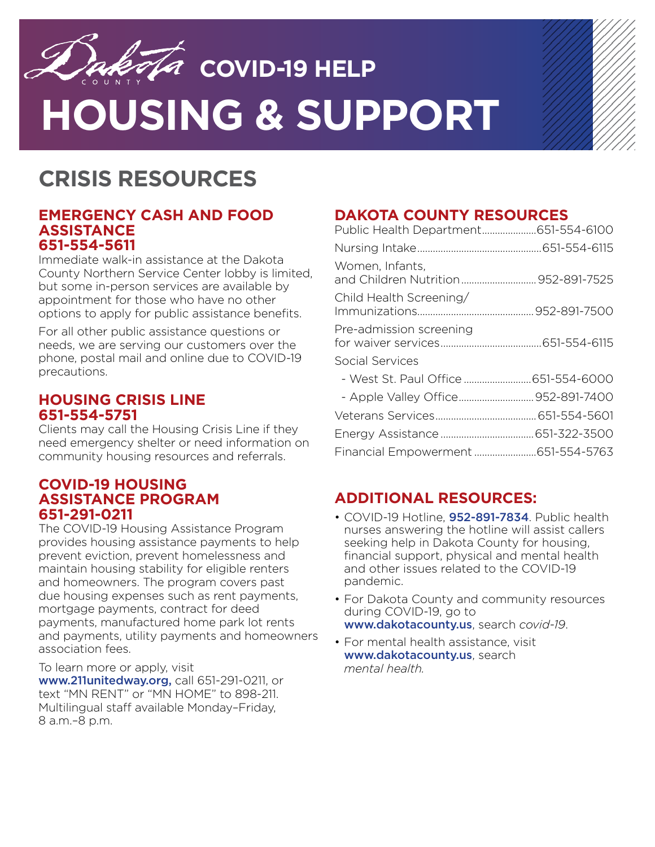

**TA** COVID-19 HELP

# **HOUSING & SUPPORT**

# **CRISIS RESOURCES**

#### **EMERGENCY CASH AND FOOD ASSISTANCE 651-554-5611**

Immediate walk-in assistance at the Dakota County Northern Service Center lobby is limited, but some in-person services are available by appointment for those who have no other options to apply for public assistance benefits.

For all other public assistance questions or needs, we are serving our customers over the phone, postal mail and online due to COVID-19 precautions.

#### **HOUSING CRISIS LINE 651-554-5751**

Clients may call the Housing Crisis Line if they need emergency shelter or need information on community housing resources and referrals.

#### **COVID-19 HOUSING ASSISTANCE PROGRAM 651-291-0211**

The COVID-19 Housing Assistance Program provides housing assistance payments to help prevent eviction, prevent homelessness and maintain housing stability for eligible renters and homeowners. The program covers past due housing expenses such as rent payments, mortgage payments, contract for deed payments, manufactured home park lot rents and payments, utility payments and homeowners association fees.

To learn more or apply, visit

www.211unitedway.org, call 651-291-0211, or text "MN RENT" or "MN HOME" to 898-211. Multilingual staff available Monday–Friday, 8 a.m.–8 p.m.

# **DAKOTA COUNTY RESOURCES**

| Public Health Department651-554-6100 |  |
|--------------------------------------|--|
|                                      |  |
| Women, Infants,                      |  |
| Child Health Screening/              |  |
| Pre-admission screening              |  |
| Social Services                      |  |
|                                      |  |
|                                      |  |
|                                      |  |
|                                      |  |
| Financial Empowerment 651-554-5763   |  |

- COVID-19 Hotline, **952-891-7834**. Public health nurses answering the hotline will assist callers seeking help in Dakota County for housing, financial support, physical and mental health and other issues related to the COVID-19 pandemic.
- For Dakota County and community resources during COVID-19, go to www.dakotacounty.us, search *covid-19*.
- For mental health assistance, visit www.dakotacounty.us, search *mental health.*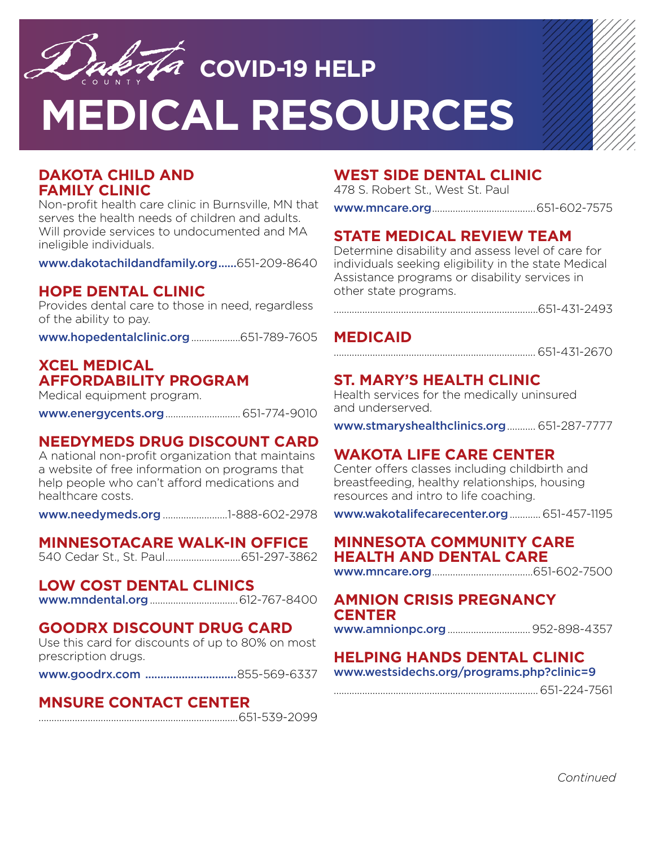

**COVID-19 HELP** 

# **MEDICAL RESOURCES**

#### **DAKOTA CHILD AND FAMILY CLINIC**

Non-profit health care clinic in Burnsville, MN that serves the health needs of children and adults. Will provide services to undocumented and MA ineligible individuals.

www.dakotachildandfamily.org......651-209-8640

#### **HOPE DENTAL CLINIC**

Provides dental care to those in need, regardless of the ability to pay.

www.hopedentalclinic.org...................651-789-7605

# **XCEL MEDICAL AFFORDABILITY PROGRAM**

Medical equipment program.

www.energycents.org............................. 651-774-9010

#### **NEEDYMEDS DRUG DISCOUNT CARD**

A national non-profit organization that maintains a website of free information on programs that help people who can't afford medications and healthcare costs.

www.needymeds.org.........................1-888-602-2978

#### **MINNESOTACARE WALK-IN OFFICE**

540 Cedar St., St. Paul.............................651-297-3862

# **LOW COST DENTAL CLINICS**

www.mndental.org..................................612-767-8400

#### **GOODRX DISCOUNT DRUG CARD**

Use this card for discounts of up to 80% on most prescription drugs.

www.goodrx.com ..............................855-569-6337

# **MNSURE CONTACT CENTER**

.............................................................................651-539-2099

# **WEST SIDE DENTAL CLINIC**

478 S. Robert St., West St. Paul

www.mncare.org........................................651-602-7575

### **STATE MEDICAL REVIEW TEAM**

Determine disability and assess level of care for individuals seeking eligibility in the state Medical Assistance programs or disability services in other state programs.

...............................................................................651-431-2493

#### **MEDICAID**

.............................................................................. 651-431-2670

### **ST. MARY'S HEALTH CLINIC**

Health services for the medically uninsured and underserved.

www.stmaryshealthclinics.org........... 651-287-7777

# **WAKOTA LIFE CARE CENTER**

Center offers classes including childbirth and breastfeeding, healthy relationships, housing resources and intro to life coaching.

www.wakotalifecarecenter.org............651-457-1195

#### **MINNESOTA COMMUNITY CARE HEALTH AND DENTAL CARE**

www.mncare.org.......................................651-602-7500

#### **AMNION CRISIS PREGNANCY CENTER**

www.amnionpc.org................................952-898-4357

# **HELPING HANDS DENTAL CLINIC**

www.westsidechs.org/programs.php?clinic=9

...............................................................................651-224-7561

*Continued*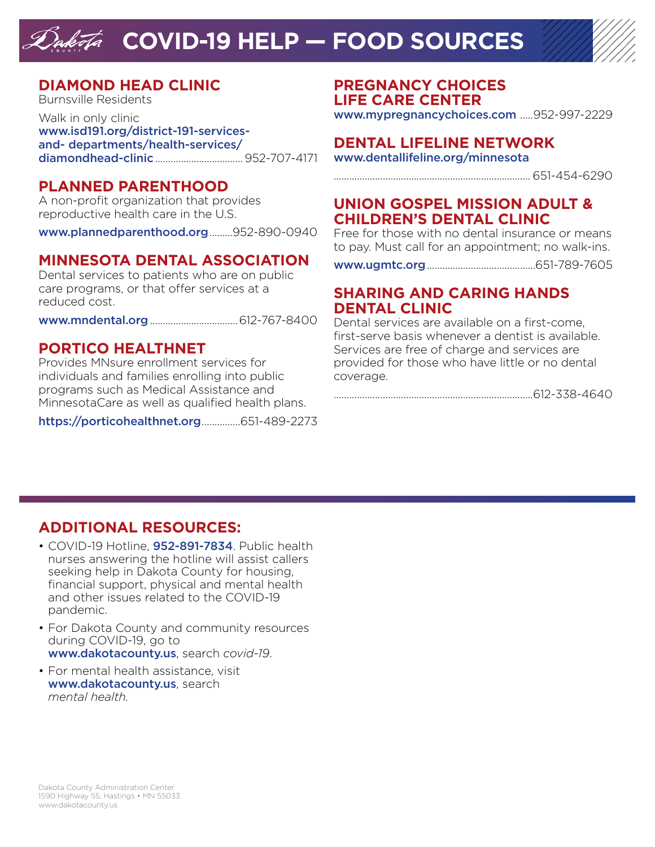# **COVID-19 HELP — FOOD SOURCES**

# **DIAMOND HEAD CLINIC**

Burnsville Residents

Walk in only clinic www.isd191.org/district-191-servicesand- departments/health-services/ diamondhead-clinic..................................952-707-4171

# **PLANNED PARENTHOOD**

A non-profit organization that provides reproductive health care in the U.S.

www.plannedparenthood.org.........952-890-0940

# **MINNESOTA DENTAL ASSOCIATION**

Dental services to patients who are on public care programs, or that offer services at a reduced cost.

www.mndental.org..................................612-767-8400

# **PORTICO HEALTHNET**

Provides MNsure enrollment services for individuals and families enrolling into public programs such as Medical Assistance and MinnesotaCare as well as qualified health plans.

https://porticohealthnet.org...............651-489-2273

#### **PREGNANCY CHOICES LIFE CARE CENTER**

www.mypregnancychoices.com .....952-997-2229

# **DENTAL LIFELINE NETWORK**

www.dentallifeline.org/minnesota

............................................................................ 651-454-6290

### **UNION GOSPEL MISSION ADULT & CHILDREN'S DENTAL CLINIC**

Free for those with no dental insurance or means to pay. Must call for an appointment; no walk-ins.

www.ugmtc.org..........................................651-789-7605

#### **SHARING AND CARING HANDS DENTAL CLINIC**

Dental services are available on a first-come, first-serve basis whenever a dentist is available. Services are free of charge and services are provided for those who have little or no dental coverage.

.............................................................................612-338-4640

- COVID-19 Hotline, 952-891-7834. Public health nurses answering the hotline will assist callers seeking help in Dakota County for housing, financial support, physical and mental health and other issues related to the COVID-19 pandemic.
- For Dakota County and community resources during COVID-19, go to www.dakotacounty.us, search *covid-19*.
- For mental health assistance, visit www.dakotacounty.us, search *mental health.*